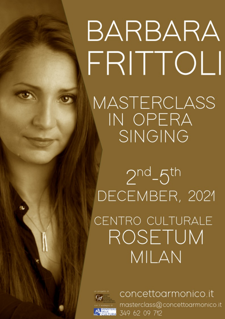BARBARA FRITTOLI MASTERCLASS IN OPERA SINGING

 $2<sup>nd</sup>-5<sup>th</sup>$ DECEMBER, 2021 CENTRO CULTURALE ROSETUM MILAN



concettoarmonico.it masterclass@concettoarmonico.it 349 62 09 712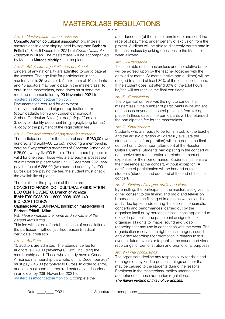# MASTERCLASS REGULATIONS

\* \* \*

#### Art. 1 - Master class - venue - lessons.

Concetto Armonico cultural associaton organizes a masterclass in opera singing held by soprano Barbara Frittoli (2, 3, 4, 5 December 2021) at Centro Culturale Rosetum in Milan. The masterclass will be accompanied by Maestro Marcos Madrigal on the piano.

#### Art. 2 - Admission: age limits and enrolment.

Singers of any nationality are admitted to participate at the lessons. The age limit for participation in the masterclass is 35 years old. A maximum of 10 students and 15 auditors may participate in the masterclass. To enrol in the masterclass, candidates must send the required documentation by 20 November 2021 to: [masterclass@concettoarmonico.it](mailto:masterclass@concettoarmonico.it)

#### Documentation required for enrolment

1. duly completed and signed application form (downloadable from www.concettoarmonico.it) 2. short Curriculum Vitae (in .doc/.rtf/.pdf format); 3. copy of identity document (in .jpeg/.gif/.png format)

4. copy of the payment of the registration fee.

#### Art. 3 - Fee and method of payment for students.

The participation fee for the masterclass is  $\epsilon$  280,00 (two hundred and eighty/00 Euros), including a membership card as Sympathizing members of Concetto Armonico of € 25,00 (twenty-five/00 Euros). The membership card is valid for one year. Those who are already in possession of a membership card valid until 5 December 2021 shall pay the fee of  $\epsilon$  255.00 (two hundred and fifty-five/00 Euros). Before paying the fee, the student must check the availability of places.

The details for the payment of the fee are:

#### CONCETTO ARMONICO - CULTURAL ASSOCIATION BCC CENTROVENETO, Branch of Vicenza IBAN: IT60 O085 9011 8000 0008 1026 140 BIC: CCRTIT2TBCV Causale: NAME SURNAME inscription masterclass of

## Barbara Frittoli - Milan

NB: Please indicate the name and surname of the person registering.

This fee will not be refundable in case of cancellation of the participant, without justified reason (medical certificate, contract).

#### Art. 4 - Auditors.

15 auditors are admitted. The attendance fee for auditors is  $£70,00$  (seventy/00 Euro), including the membership card. Those who already have a Concetto Armonico membership card valid until 5 December 2021 must pay  $\epsilon$  45.00 (forty-five/00 Euros). In order to enrol, auditors must send the required material, as described in article 2, by 20th November 2021 to [masterclass@concettoarmonico.it,](mailto:masterclass@concettoarmonico.it) complete the

attendance fee (at the time of enrolment) and send the receipt of payment, under penalty of exclusion from the project. Auditors will be able to discreetly partecipate in the masterclass by asking questions to the Maestro when allowed.

#### Art. 5 - Attendance.

The timetable of the masterclass and the relative breaks will be agreed upon by the teacher together with the enrolled students. Students (active and auditors) will be obliged to attend at least 80% of the total lesson hours. If the student does not attend 80% of the total hours, he/she will not receive the final certificate.

#### Art. 6 - Cancellation.

The organisation reserves the right to cancel the masterclass if the number of participants is insufficient or if causes beyond its control prevent it from taking place. In these cases, the participants will be refunded the participation fee for the masterclass.

#### Art. 7 - Final concert.

Students who are ready to perform in public (the teacher and the artistic direction will carefully evaluate the student's level of preparation) will take part in the final concert on 5 December (afternoon) at the Rosetum Cultural Centre. Students participating in the concert will not receive any remuneration or reimbursement of expenses for their performance. Students must ensure their presence at the concert, without exception. A certificate of participation will be handed out to all students (students and auditors) at the end of the final concert.

#### Art. 8 - Filming of images, audio and video.

By enrolling, the participant in the masterclass gives his or her consent to the filming and radio and television broadcasts, to the filming of images as well as audio and video tapes made during the lessons, rehearsals, concerts and performances, carried out by the organiser itself or by persons or institutions appointed to do so. In particular, the participant assigns to the organiser all rights to image, sound and video recordings for any use in connection with the event. The organisation reserves the right to use images, sound and video recordings for promotion in relation to this event or future events or to publish the sound and video recordings for demonstration and promotional purposes.

#### Art. 9 - Final conclusions

The organisers decline any responsibility for risks and damages of any kind to persons, things or other that may be caused to the students during the lessons. Enrolment in the masterclass implies unconditional acceptance of these admission regulations. The Italian version of this notice applies.